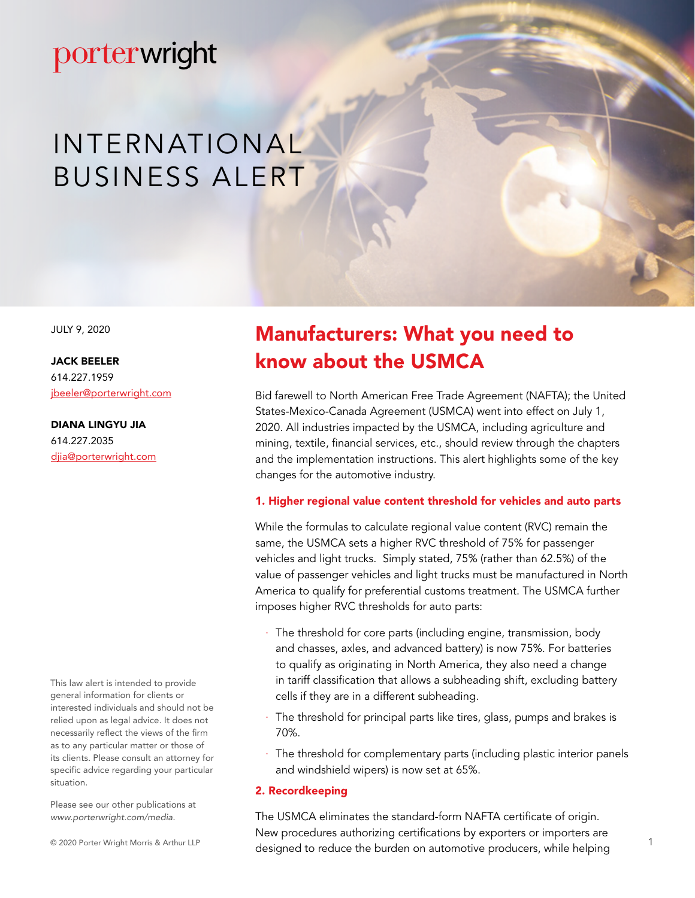# porterwright

# INTERNATIONAL BUSINESS ALERT

JULY 9, 2020

JACK BEELER 614.227.1959 [jbeeler@porterwright.com](mailto:jbeeler%40porterwright.com?subject=)

DIANA LINGYU JIA 614.227.2035 [djia@porterwright.com](mailto:djia%40porterwright.com?subject=)

This law alert is intended to provide general information for clients or interested individuals and should not be relied upon as legal advice. It does not necessarily reflect the views of the firm as to any particular matter or those of its clients. Please consult an attorney for specific advice regarding your particular situation.

Please see our other publications at *www.porterwright.com/media.*

© 2020 Porter Wright Morris & Arthur LLP

## Manufacturers: What you need to know about the USMCA

Bid farewell to North American Free Trade Agreement (NAFTA); the United States-Mexico-Canada Agreement (USMCA) went into effect on July 1, 2020. All industries impacted by the USMCA, including agriculture and mining, textile, financial services, etc., should review through the chapters and the implementation instructions. This alert highlights some of the key changes for the automotive industry.

#### 1. Higher regional value content threshold for vehicles and auto parts

While the formulas to calculate regional value content (RVC) remain the same, the USMCA sets a higher RVC threshold of 75% for passenger vehicles and light trucks. Simply stated, 75% (rather than 62.5%) of the value of passenger vehicles and light trucks must be manufactured in North America to qualify for preferential customs treatment. The USMCA further imposes higher RVC thresholds for auto parts:

- The threshold for core parts (including engine, transmission, body and chasses, axles, and advanced battery) is now 75%. For batteries to qualify as originating in North America, they also need a change in tariff classification that allows a subheading shift, excluding battery cells if they are in a different subheading.
- The threshold for principal parts like tires, glass, pumps and brakes is 70%.
- · The threshold for complementary parts (including plastic interior panels and windshield wipers) is now set at 65%.

#### 2. Recordkeeping

The USMCA eliminates the standard-form NAFTA certificate of origin. New procedures authorizing certifications by exporters or importers are designed to reduce the burden on automotive producers, while helping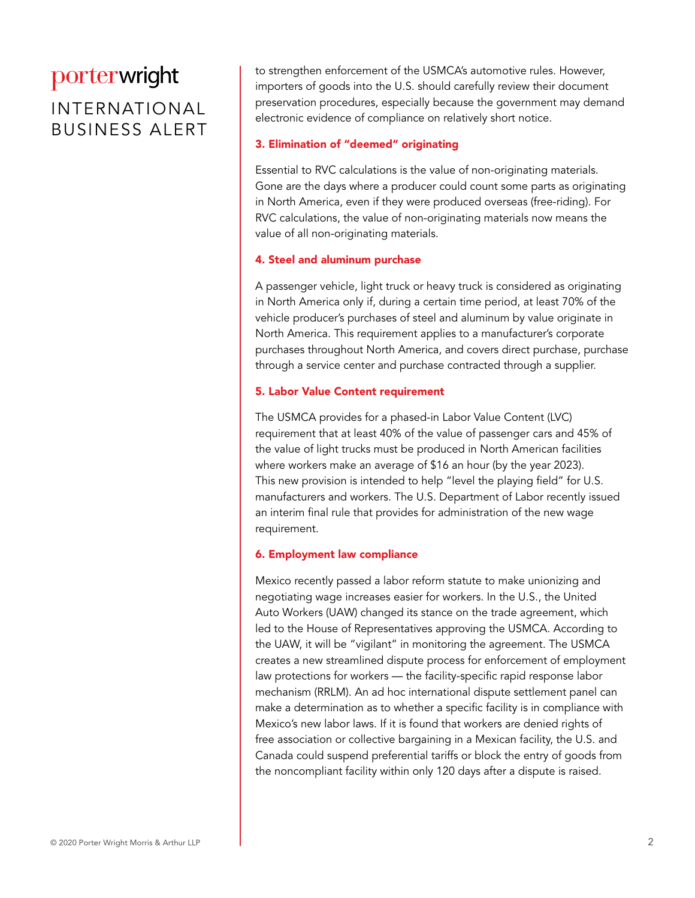## porterwright

### INTERNATIONAL BUSINESS ALERT

to strengthen enforcement of the USMCA's automotive rules. However, importers of goods into the U.S. should carefully review their document preservation procedures, especially because the government may demand electronic evidence of compliance on relatively short notice.

#### 3. Elimination of "deemed" originating

Essential to RVC calculations is the value of non-originating materials. Gone are the days where a producer could count some parts as originating in North America, even if they were produced overseas (free-riding). For RVC calculations, the value of non-originating materials now means the value of all non-originating materials.

#### 4. Steel and aluminum purchase

A passenger vehicle, light truck or heavy truck is considered as originating in North America only if, during a certain time period, at least 70% of the vehicle producer's purchases of steel and aluminum by value originate in North America. This requirement applies to a manufacturer's corporate purchases throughout North America, and covers direct purchase, purchase through a service center and purchase contracted through a supplier.

#### 5. Labor Value Content requirement

The USMCA provides for a phased-in Labor Value Content (LVC) requirement that at least 40% of the value of passenger cars and 45% of the value of light trucks must be produced in North American facilities where workers make an average of \$16 an hour (by the year 2023). This new provision is intended to help "level the playing field" for U.S. manufacturers and workers. The U.S. Department of Labor recently issued an interim final rule that provides for administration of the new wage requirement.

#### 6. Employment law compliance

Mexico recently passed a labor reform statute to make unionizing and negotiating wage increases easier for workers. In the U.S., the United Auto Workers (UAW) changed its stance on the trade agreement, which led to the House of Representatives approving the USMCA. According to the UAW, it will be "vigilant" in monitoring the agreement. The USMCA creates a new streamlined dispute process for enforcement of employment law protections for workers — the facility-specific rapid response labor mechanism (RRLM). An ad hoc international dispute settlement panel can make a determination as to whether a specific facility is in compliance with Mexico's new labor laws. If it is found that workers are denied rights of free association or collective bargaining in a Mexican facility, the U.S. and Canada could suspend preferential tariffs or block the entry of goods from the noncompliant facility within only 120 days after a dispute is raised.